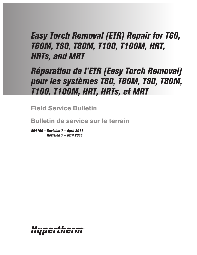# *Easy Torch Removal (ETR) Repair for T60, T60M, T80, T80M, T100, T100M, HRT, HRTs, and MRT*

# *Réparation de l'ETR (Easy Torch Removal) pour les systèmes T60, T60M, T80, T80M, T100, T100M, HRT, HRTs, et MRT*

**Field Service Bulletin**

**Bulletin de service sur le terrain**

*804100 – Revision 7 – April 2011 Révision 7 – avril 2011*

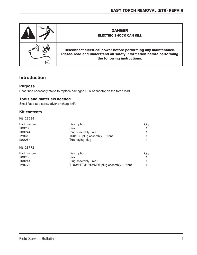

### **Introduction**

#### **Purpose**

Describes necessary steps to replace damaged ETR connector on the torch lead.

#### **Tools and materials needed**

Small flat blade screwdriver or sharp knife

#### **Kit contents**

Kit128638

| Part number | Description                             | Qty |
|-------------|-----------------------------------------|-----|
| 108230      | Seal                                    |     |
| 108244      | Plug assembly - rear                    |     |
| 128619      | T60/T80 plug assembly $-$ front         |     |
| 220054      | T60 keying plug                         |     |
| Kit128772   |                                         |     |
| Part number | Description                             | Qty |
| 108230      | Seal                                    |     |
| 108244      | Plug assembly - rear                    |     |
| 128728      | T100/HRT/HRTs/MRT plug assembly - front |     |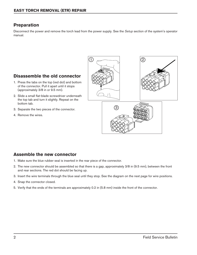## **Preparation**

Disconnect the power and remove the torch lead from the power supply. See the *Setup* section of the system's operator manual.

# $1)$   $(2)$ 3

# **Disassemble the old connector**

- 1. Press the tabs on the top (red dot) and bottom of the connector. Pull it apart until it stops (approximately 3/8 in or 9.5 mm).
- 2. Slide a small flat-blade screwdriver underneath the top tab and turn it slightly. Repeat on the bottom tab.
- 3. Separate the two pieces of the connector.
- 4. Remove the wires.

### **Assemble the new connector**

- 1. Make sure the blue rubber seal is inserted in the rear piece of the connector.
- 2. The new connector should be assembled so that there is a gap, approximately 3/8 in (9.5 mm), between the front and rear sections. The red dot should be facing up.
- 3. Insert the wire terminals through the blue seal until they stop. See the diagram on the next page for wire positions.
- 4. Snap the connector closed.
- 5. Verify that the ends of the terminals are approximately 0.2 in (5.8 mm) inside the front of the connector.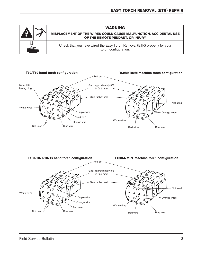



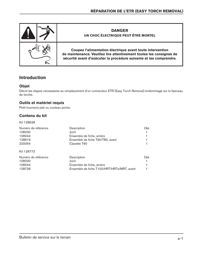

## **Introduction**

#### **Objet**

Décrit les étapes nécessaires au remplacement d'un connecteur ETR (Easy Torch Removal) endommagé sur le faisceau de torche.

#### **Outils et matériel requis**

Petit tournevis plat ou couteau pointu

#### **Contenu du kit**

Kit 128638

| Numéro de référence | Description                                | Oté |
|---------------------|--------------------------------------------|-----|
| 108230              | Joint                                      |     |
| 108244              | Ensemble de fiche, arrière                 |     |
| 128619              | Ensemble de fiche T60/T80, avant           |     |
| 220054              | Clavette T60                               |     |
| Kit 128772          |                                            |     |
| Numéro de référence | Description                                | Oté |
| 108230              | Joint                                      |     |
| 108244              | Ensemble de fiche, arrière                 |     |
| 128728              | Ensemble de fiche T100/HRT/HRTs/MRT, avant |     |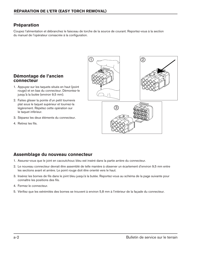# **Préparation**

Coupez l'alimentation et débranchez le faisceau de torche de la source de courant. Reportez-vous à la section du manuel de l'opérateur consacrée à la configuration.



#### **Démontage de l'ancien connecteur**

- 1. Appuyez sur les taquets situés en haut (point rouge) et en bas du connecteur. Démontez-le jusqu'à la butée (environ 9,5 mm).
- 2. Faites glisser la pointe d'un petit tournevis plat sous le taquet supérieur et tournez-la légèrement. Répétez cette opération sur le taquet inférieur.
- 3. Séparez les deux éléments du connecteur.
- 4. Retirez les fils.

# **Assemblage du nouveau connecteur**

- 1. Assurez-vous que le joint en cacoutchouc bleu est inséré dans la partie arrière du connecteur.
- 2. Le nouveau connecteur devrait être assemblé de telle manière à observer un écartement d'environ 9,5 mm entre les sections avant et arrière. Le point rouge doit être orienté vers le haut.
- 3. Insérez les bornes de fils dans le joint bleu jusqu'à la butée. Reportez-vous au schéma de la page suivante pour connaître les positions des fils.
- 4. Fermez le connecteur.
- 5. Vérifiez que les extrémités des bornes se trouvent à environ 5,8 mm à l'intérieur de la façade du connecteur.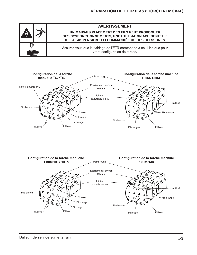